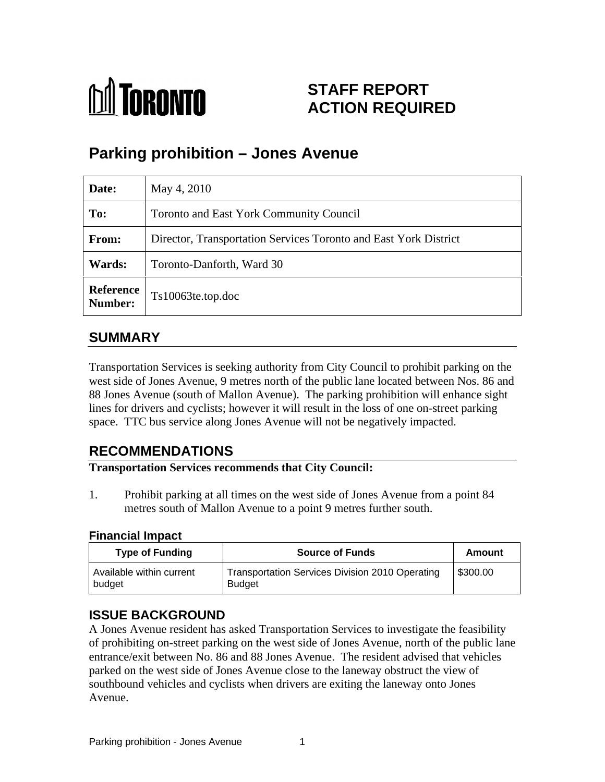

# **STAFF REPORT ACTION REQUIRED**

# **Parking prohibition – Jones Avenue**

| Date:                | May 4, 2010                                                      |
|----------------------|------------------------------------------------------------------|
| To:                  | Toronto and East York Community Council                          |
| From:                | Director, Transportation Services Toronto and East York District |
| <b>Wards:</b>        | Toronto-Danforth, Ward 30                                        |
| Reference<br>Number: | Ts10063te.top.doc                                                |

# **SUMMARY**

Transportation Services is seeking authority from City Council to prohibit parking on the west side of Jones Avenue, 9 metres north of the public lane located between Nos. 86 and 88 Jones Avenue (south of Mallon Avenue). The parking prohibition will enhance sight lines for drivers and cyclists; however it will result in the loss of one on-street parking space. TTC bus service along Jones Avenue will not be negatively impacted.

# **RECOMMENDATIONS**

**Transportation Services recommends that City Council:**

1. Prohibit parking at all times on the west side of Jones Avenue from a point 84 metres south of Mallon Avenue to a point 9 metres further south.

#### **Financial Impact**

### **ISSUE BACKGROUND**

A Jones Avenue resident has asked Transportation Services to investigate the feasibility of prohibiting on-street parking on the west side of Jones Avenue, north of the public lane entrance/exit between No. 86 and 88 Jones Avenue. The resident advised that vehicles parked on the west side of Jones Avenue close to the laneway obstruct the view of southbound vehicles and cyclists when drivers are exiting the laneway onto Jones Avenue.